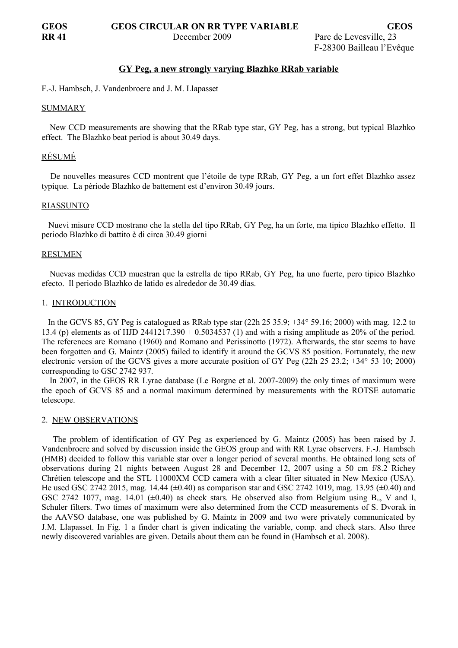## **GY Peg, a new strongly varying Blazhko RRab variable**

F.-J. Hambsch, J. Vandenbroere and J. M. Llapasset

### SUMMARY

 New CCD measurements are showing that the RRab type star, GY Peg, has a strong, but typical Blazhko effect. The Blazhko beat period is about 30.49 days.

# RÉSUMÉ

 De nouvelles measures CCD montrent que l'étoile de type RRab, GY Peg, a un fort effet Blazhko assez typique. La période Blazhko de battement est d'environ 30.49 jours.

### RIASSUNTO

 Nuevi misure CCD mostrano che la stella del tipo RRab, GY Peg, ha un forte, ma tipico Blazhko effetto. Il periodo Blazhko di battito è di circa 30.49 giorni

### RESUMEN

 Nuevas medidas CCD muestran que la estrella de tipo RRab, GY Peg, ha uno fuerte, pero tipico Blazhko efecto. Il periodo Blazhko de latido es alrededor de 30.49 días.

## 1. INTRODUCTION

 In the GCVS 85, GY Peg is catalogued as RRab type star (22h 25 35.9; +34° 59.16; 2000) with mag. 12.2 to 13.4 (p) elements as of HJD 2441217.390 + 0.5034537 (1) and with a rising amplitude as 20% of the period. The references are Romano (1960) and Romano and Perissinotto (1972). Afterwards, the star seems to have been forgotten and G. Maintz (2005) failed to identify it around the GCVS 85 position. Fortunately, the new electronic version of the GCVS gives a more accurate position of GY Peg (22h 25 23.2; +34° 53 10; 2000) corresponding to GSC 2742 937.

 In 2007, in the GEOS RR Lyrae database (Le Borgne et al. 2007-2009) the only times of maximum were the epoch of GCVS 85 and a normal maximum determined by measurements with the ROTSE automatic telescope.

### 2. NEW OBSERVATIONS

 The problem of identification of GY Peg as experienced by G. Maintz (2005) has been raised by J. Vandenbroere and solved by discussion inside the GEOS group and with RR Lyrae observers. F.-J. Hambsch (HMB) decided to follow this variable star over a longer period of several months. He obtained long sets of observations during 21 nights between August 28 and December 12, 2007 using a 50 cm f/8.2 Richey Chrétien telescope and the STL 11000XM CCD camera with a clear filter situated in New Mexico (USA). He used GSC 2742 2015, mag. 14.44 (±0.40) as comparison star and GSC 2742 1019, mag. 13.95 (±0.40) and GSC 2742 1077, mag. 14.01 ( $\pm 0.40$ ) as check stars. He observed also from Belgium using B<sub>u</sub>, V and I<sub>s</sub> Schuler filters. Two times of maximum were also determined from the CCD measurements of S. Dvorak in the AAVSO database, one was published by G. Maintz in 2009 and two were privately communicated by J.M. Llapasset. In Fig. 1 a finder chart is given indicating the variable, comp. and check stars. Also three newly discovered variables are given. Details about them can be found in (Hambsch et al. 2008).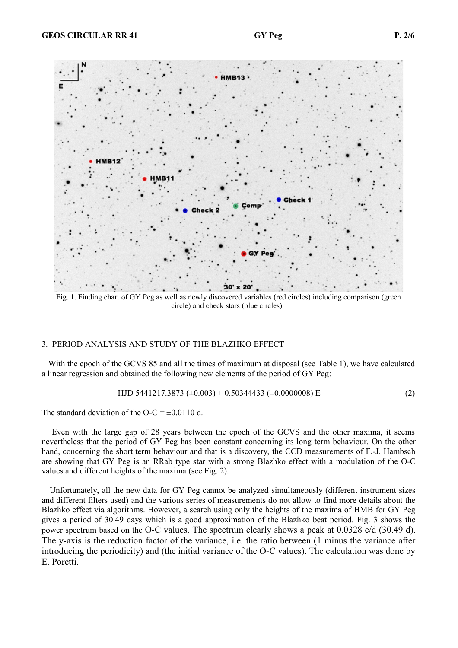

Fig. 1. Finding chart of GY Peg as well as newly discovered variables (red circles) including comparison (green circle) and check stars (blue circles).

## 3. PERIOD ANALYSIS AND STUDY OF THE BLAZHKO EFFECT

With the epoch of the GCVS 85 and all the times of maximum at disposal (see Table 1), we have calculated a linear regression and obtained the following new elements of the period of GY Peg:

HJD 5441217.3873 
$$
(\pm 0.003) + 0.50344433
$$
  $(\pm 0.0000008)$  E (2)

The standard deviation of the O-C =  $\pm$ 0.0110 d.

 Even with the large gap of 28 years between the epoch of the GCVS and the other maxima, it seems nevertheless that the period of GY Peg has been constant concerning its long term behaviour. On the other hand, concerning the short term behaviour and that is a discovery, the CCD measurements of F.-J. Hambsch are showing that GY Peg is an RRab type star with a strong Blazhko effect with a modulation of the O-C values and different heights of the maxima (see Fig. 2).

 Unfortunately, all the new data for GY Peg cannot be analyzed simultaneously (different instrument sizes and different filters used) and the various series of measurements do not allow to find more details about the Blazhko effect via algorithms. However, a search using only the heights of the maxima of HMB for GY Peg gives a period of 30.49 days which is a good approximation of the Blazhko beat period. Fig. 3 shows the power spectrum based on the O-C values. The spectrum clearly shows a peak at 0.0328 c/d (30.49 d). The y-axis is the reduction factor of the variance, i.e. the ratio between (1 minus the variance after introducing the periodicity) and (the initial variance of the O-C values). The calculation was done by E. Poretti.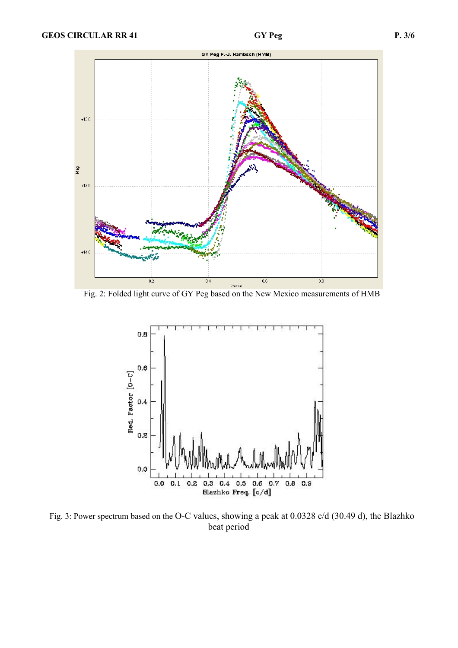

Fig. 2: Folded light curve of GY Peg based on the New Mexico measurements of HMB



 Fig. 3: Power spectrum based on the O-C values, showing a peak at 0.0328 c/d (30.49 d), the Blazhko beat period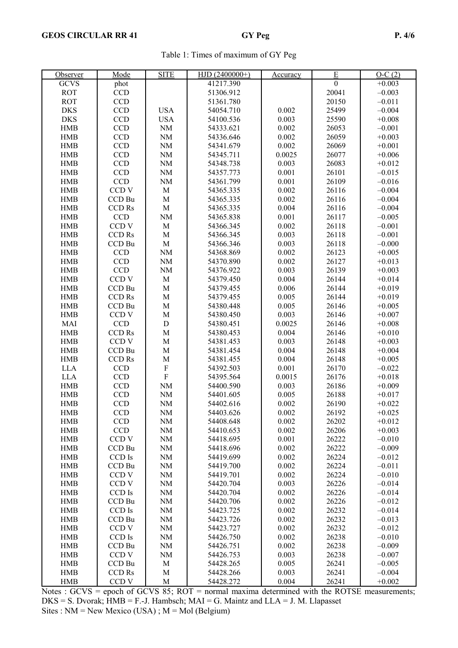|  |  |  |  |  | Table 1: Times of maximum of GY Peg |  |  |  |
|--|--|--|--|--|-------------------------------------|--|--|--|
|--|--|--|--|--|-------------------------------------|--|--|--|

| Observer    | Mode             | <b>SITE</b> | $HJD(2400000+)$ | <u>Accuracy</u> | $\overline{\mathrm{E}}$ | $O-C(2)$ |
|-------------|------------------|-------------|-----------------|-----------------|-------------------------|----------|
| <b>GCVS</b> | phot             |             | 41217.390       |                 | $\mathbf{0}$            | $+0.003$ |
| <b>ROT</b>  | <b>CCD</b>       |             | 51306.912       |                 | 20041                   | $-0.003$ |
| <b>ROT</b>  | CCD              |             | 51361.780       |                 | 20150                   | $-0.011$ |
| <b>DKS</b>  | CCD              | <b>USA</b>  | 54054.710       | 0.002           | 25499                   | $-0.004$ |
| <b>DKS</b>  | CCD              | <b>USA</b>  | 54100.536       | 0.003           | 25590                   | $+0.008$ |
| <b>HMB</b>  | CCD              | <b>NM</b>   | 54333.621       | 0.002           | 26053                   | $-0.001$ |
| <b>HMB</b>  | <b>CCD</b>       | NM          | 54336.646       | 0.002           | 26059                   | $+0.003$ |
| <b>HMB</b>  | <b>CCD</b>       | NM          | 54341.679       | 0.002           | 26069                   | $+0.001$ |
| <b>HMB</b>  | <b>CCD</b>       | $\rm{NM}$   | 54345.711       | 0.0025          | 26077                   | $+0.006$ |
| <b>HMB</b>  | CCD              | $\rm{NM}$   | 54348.738       | 0.003           | 26083                   | $+0.012$ |
|             | CCD              | <b>NM</b>   |                 | 0.001           |                         |          |
| <b>HMB</b>  |                  |             | 54357.773       |                 | 26101                   | $-0.015$ |
| <b>HMB</b>  | CCD              | NM          | 54361.799       | 0.001           | 26109                   | $-0.016$ |
| <b>HMB</b>  | CCD <sub>V</sub> | $\mathbf M$ | 54365.335       | 0.002           | 26116                   | $-0.004$ |
| <b>HMB</b>  | CCD Bu           | $\mathbf M$ | 54365.335       | 0.002           | 26116                   | $-0.004$ |
| <b>HMB</b>  | <b>CCD Rs</b>    | $\mathbf M$ | 54365.335       | 0.004           | 26116                   | $-0.004$ |
| <b>HMB</b>  | <b>CCD</b>       | NM          | 54365.838       | 0.001           | 26117                   | $-0.005$ |
| <b>HMB</b>  | CCD <sub>V</sub> | $\mathbf M$ | 54366.345       | 0.002           | 26118                   | $-0.001$ |
| <b>HMB</b>  | CCD Rs           | $\mathbf M$ | 54366.345       | 0.003           | 26118                   | $-0.001$ |
| <b>HMB</b>  | CCD Bu           | $\mathbf M$ | 54366.346       | 0.003           | 26118                   | $-0.000$ |
| <b>HMB</b>  | <b>CCD</b>       | NM          | 54368.869       | 0.002           | 26123                   | $+0.005$ |
| <b>HMB</b>  | <b>CCD</b>       | <b>NM</b>   | 54370.890       | 0.002           | 26127                   | $+0.013$ |
| <b>HMB</b>  | <b>CCD</b>       | NM          | 54376.922       | 0.003           | 26139                   | $+0.003$ |
| <b>HMB</b>  | CCD <sub>V</sub> | $\mathbf M$ | 54379.450       | 0.004           | 26144                   | $+0.014$ |
| <b>HMB</b>  | CCD Bu           | $\mathbf M$ | 54379.455       | 0.006           | 26144                   | $+0.019$ |
| <b>HMB</b>  | <b>CCD Rs</b>    | $\mathbf M$ | 54379.455       | 0.005           | 26144                   | $+0.019$ |
| <b>HMB</b>  | CCD Bu           | $\mathbf M$ | 54380.448       | 0.005           | 26146                   | $+0.005$ |
| <b>HMB</b>  | CCD <sub>V</sub> | $\mathbf M$ | 54380.450       | 0.003           | 26146                   | $+0.007$ |
| MAI         | <b>CCD</b>       | ${\bf D}$   | 54380.451       | 0.0025          | 26146                   | $+0.008$ |
| <b>HMB</b>  | <b>CCD Rs</b>    | $\mathbf M$ | 54380.453       | 0.004           | 26146                   | $+0.010$ |
| <b>HMB</b>  | CCD <sub>V</sub> | $\mathbf M$ | 54381.453       | 0.003           | 26148                   | $+0.003$ |
| <b>HMB</b>  | CCD Bu           | $\mathbf M$ | 54381.454       | 0.004           | 26148                   | $+0.004$ |
| ${\rm HMB}$ | CCD Rs           | M           | 54381.455       | 0.004           | 26148                   | $+0.005$ |
| <b>LLA</b>  | <b>CCD</b>       | ${\bf F}$   | 54392.503       | 0.001           | 26170                   | $-0.022$ |
| <b>LLA</b>  | <b>CCD</b>       | ${\bf F}$   | 54395.564       | 0.0015          | 26176                   | $+0.018$ |
| <b>HMB</b>  | <b>CCD</b>       | NM          | 54400.590       | 0.003           | 26186                   | $+0.009$ |
| <b>HMB</b>  | <b>CCD</b>       | NM          | 54401.605       | 0.005           | 26188                   | $+0.017$ |
| <b>HMB</b>  | CCD              | <b>NM</b>   | 54402.616       | 0.002           | 26190                   | $+0.022$ |
| <b>HMB</b>  | <b>CCD</b>       | NM          | 54403.626       | 0.002           | 26192                   | $+0.025$ |
| <b>HMB</b>  | <b>CCD</b>       | NM          | 54408.648       | 0.002           | 26202                   | $+0.012$ |
| <b>HMB</b>  | <b>CCD</b>       | NM          | 54410.653       | 0.002           | 26206                   | $+0.003$ |
| <b>HMB</b>  | CCD <sub>V</sub> | <b>NM</b>   | 54418.695       | 0.001           | 26222                   | $-0.010$ |
| <b>HMB</b>  | CCD Bu           | NM          | 54418.696       | 0.002           | 26222                   | $-0.009$ |
| <b>HMB</b>  | CCD Is           | <b>NM</b>   | 54419.699       | 0.002           | 26224                   | $-0.012$ |
| <b>HMB</b>  | CCD Bu           | <b>NM</b>   | 54419.700       | 0.002           | 26224                   | $-0.011$ |
| <b>HMB</b>  | CCD <sub>V</sub> | <b>NM</b>   | 54419.701       | 0.002           | 26224                   | $-0.010$ |
| <b>HMB</b>  | CCD <sub>V</sub> | <b>NM</b>   | 54420.704       | 0.003           | 26226                   | $-0.014$ |
| ${\rm HMB}$ | CCD Is           | <b>NM</b>   | 54420.704       | 0.002           | 26226                   | $-0.014$ |
| <b>HMB</b>  | CCD Bu           | <b>NM</b>   | 54420.706       | 0.002           | 26226                   | $-0.012$ |
| <b>HMB</b>  | CCD Is           | NM          | 54423.725       | 0.002           | 26232                   | $-0.014$ |
| <b>HMB</b>  | CCD Bu           | NM          | 54423.726       | 0.002           | 26232                   | $-0.013$ |
| <b>HMB</b>  | CCD <sub>V</sub> | <b>NM</b>   | 54423.727       | 0.002           | 26232                   | $-0.012$ |
| <b>HMB</b>  | $CCD\ {\rm Is}$  | NM          | 54426.750       | 0.002           | 26238                   | $-0.010$ |
| <b>HMB</b>  | CCD Bu           | <b>NM</b>   | 54426.751       | 0.002           | 26238                   | $-0.009$ |
| <b>HMB</b>  | CCD V            | <b>NM</b>   | 54426.753       | 0.003           | 26238                   | $-0.007$ |
| <b>HMB</b>  | CCD Bu           | M           | 54428.265       | 0.005           | 26241                   | $-0.005$ |
| <b>HMB</b>  | <b>CCD Rs</b>    | $\mathbf M$ | 54428.266       | 0.003           | 26241                   | $-0.004$ |
| <b>HMB</b>  | CCD <sub>V</sub> | $\mathbf M$ | 54428.272       | 0.004           | 26241                   | $+0.002$ |

Notes : GCVS = epoch of GCVS 85; ROT = normal maxima determined with the ROTSE measurements; DKS = S. Dvorak; HMB = F.-J. Hambsch; MAI = G. Maintz and LLA = J. M. Llapasset Sites : NM = New Mexico (USA) ; M = Mol (Belgium)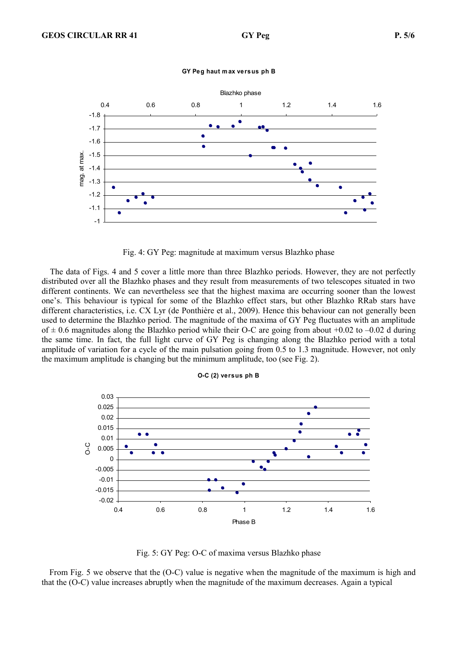

**GY Peg haut m ax versus ph B**

Fig. 4: GY Peg: magnitude at maximum versus Blazhko phase

 The data of Figs. 4 and 5 cover a little more than three Blazhko periods. However, they are not perfectly distributed over all the Blazhko phases and they result from measurements of two telescopes situated in two different continents. We can nevertheless see that the highest maxima are occurring sooner than the lowest one's. This behaviour is typical for some of the Blazhko effect stars, but other Blazhko RRab stars have different characteristics, i.e. CX Lyr (de Ponthière et al., 2009). Hence this behaviour can not generally been used to determine the Blazhko period. The magnitude of the maxima of GY Peg fluctuates with an amplitude of  $\pm$  0.6 magnitudes along the Blazhko period while their O-C are going from about +0.02 to –0.02 d during the same time. In fact, the full light curve of GY Peg is changing along the Blazhko period with a total amplitude of variation for a cycle of the main pulsation going from 0.5 to 1.3 magnitude. However, not only the maximum amplitude is changing but the minimum amplitude, too (see Fig. 2).



**O-C (2) versus ph B**

Fig. 5: GY Peg: O-C of maxima versus Blazhko phase

 From Fig. 5 we observe that the (O-C) value is negative when the magnitude of the maximum is high and that the (O-C) value increases abruptly when the magnitude of the maximum decreases. Again a typical